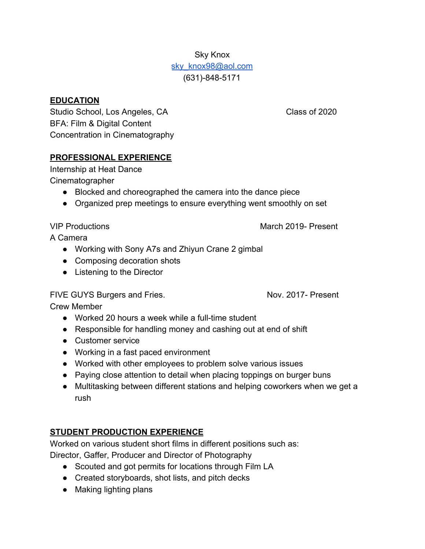# Sky Knox sky knox98@aol.com (631)-848-5171

#### **EDUCATION**

Studio School, Los Angeles, CA Class of 2020 BFA: Film & Digital Content Concentration in Cinematography

#### **PROFESSIONAL EXPERIENCE**

Internship at Heat Dance Cinematographer

- Blocked and choreographed the camera into the dance piece
- Organized prep meetings to ensure everything went smoothly on set

A Camera

- Working with Sony A7s and Zhiyun Crane 2 gimbal
- Composing decoration shots
- Listening to the Director

### FIVE GUYS Burgers and Fries. Nov. 2017- Present

Crew Member

- Worked 20 hours a week while a full-time student
- Responsible for handling money and cashing out at end of shift
- Customer service
- Working in a fast paced environment
- Worked with other employees to problem solve various issues
- Paying close attention to detail when placing toppings on burger buns
- Multitasking between different stations and helping coworkers when we get a rush

# **STUDENT PRODUCTION EXPERIENCE**

Worked on various student short films in different positions such as:

Director, Gaffer, Producer and Director of Photography

- Scouted and got permits for locations through Film LA
- Created storyboards, shot lists, and pitch decks
- Making lighting plans

VIP Productions March 2019- Present